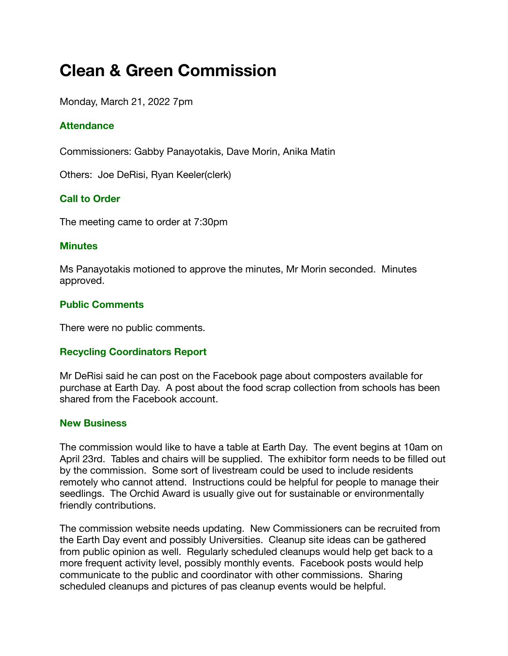# **Clean & Green Commission**

Monday, March 21, 2022 7pm

# **Attendance**

Commissioners: Gabby Panayotakis, Dave Morin, Anika Matin

Others: Joe DeRisi, Ryan Keeler(clerk)

# **Call to Order**

The meeting came to order at 7:30pm

### **Minutes**

Ms Panayotakis motioned to approve the minutes, Mr Morin seconded. Minutes approved.

### **Public Comments**

There were no public comments.

### **Recycling Coordinators Report**

Mr DeRisi said he can post on the Facebook page about composters available for purchase at Earth Day. A post about the food scrap collection from schools has been shared from the Facebook account.

### **New Business**

The commission would like to have a table at Earth Day. The event begins at 10am on April 23rd. Tables and chairs will be supplied. The exhibitor form needs to be filled out by the commission. Some sort of livestream could be used to include residents remotely who cannot attend. Instructions could be helpful for people to manage their seedlings. The Orchid Award is usually give out for sustainable or environmentally friendly contributions.

The commission website needs updating. New Commissioners can be recruited from the Earth Day event and possibly Universities. Cleanup site ideas can be gathered from public opinion as well. Regularly scheduled cleanups would help get back to a more frequent activity level, possibly monthly events. Facebook posts would help communicate to the public and coordinator with other commissions. Sharing scheduled cleanups and pictures of pas cleanup events would be helpful.